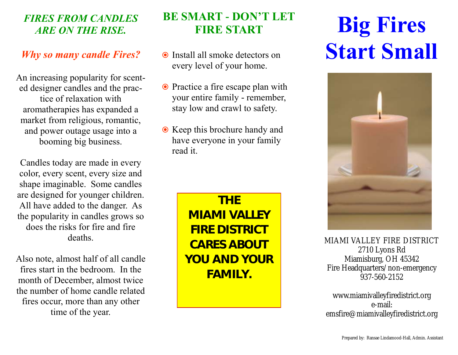### *FIRES FROM CANDLES ARE ON THE RISE.*

### *Why so many candle Fires?*

An increasing popularity for scented designer candles and the practice of relaxation with aromatherapies has expanded a market from religious, romantic, and power outage usage into a booming big business.

Candles today are made in every color, every scent, every size and shape imaginable. Some candles are designed for younger children. All have added to the danger. As the popularity in candles grows so does the risks for fire and fire deaths.

Also note, almost half of all candle fires start in the bedroom. In the month of December, almost twice the number of home candle related fires occur, more than any other time of the year.

### **BE SMART - DON'T LET FIRE START**

- Install all smoke detectors on every level of your home.
- Practice a fire escape plan with your entire family - remember, stay low and crawl to safety.
- **☉** Keep this brochure handy and have everyone in your family read it.

**THE MIAMI VALLEY FIRE DISTRICT CARES ABOUT YOU AND YOUR FAMILY.**

# **Big Fires Start Small**



MIAMI VALLEY FIRE DISTRICT 2710 Lyons Rd Miamisburg, OH 45342 Fire Headquarters/non-emergency 937-560-2152

www.miamivalleyfiredistrict.org e-mail: emsfire@miamivalleyfiredistrict.org